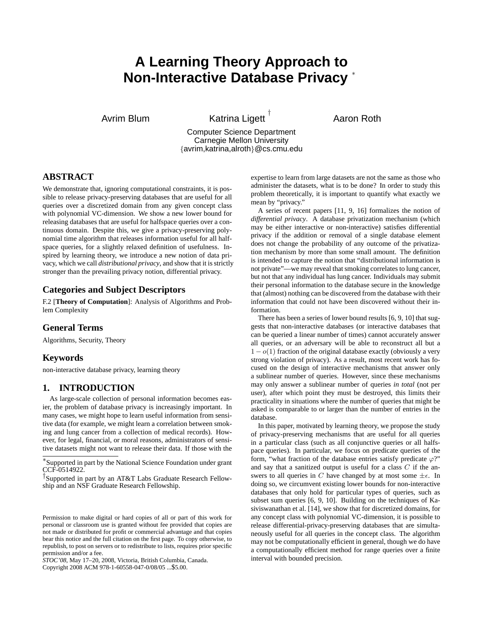# **A Learning Theory Approach to Non-Interactive Database Privacy** <sup>∗</sup>

Avrim Blum Katrina Ligett  $^\top$ 

Aaron Roth

Computer Science Department Carnegie Mellon University {avrim,katrina,alroth}@cs.cmu.edu

# **ABSTRACT**

We demonstrate that, ignoring computational constraints, it is possible to release privacy-preserving databases that are useful for all queries over a discretized domain from any given concept class with polynomial VC-dimension. We show a new lower bound for releasing databases that are useful for halfspace queries over a continuous domain. Despite this, we give a privacy-preserving polynomial time algorithm that releases information useful for all halfspace queries, for a slightly relaxed definition of usefulness. Inspired by learning theory, we introduce a new notion of data privacy, which we call *distributional privacy*, and show that it is strictly stronger than the prevailing privacy notion, differential privacy.

## **Categories and Subject Descriptors**

F.2 [**Theory of Computation**]: Analysis of Algorithms and Problem Complexity

#### **General Terms**

Algorithms, Security, Theory

# **Keywords**

non-interactive database privacy, learning theory

## **1. INTRODUCTION**

As large-scale collection of personal information becomes easier, the problem of database privacy is increasingly important. In many cases, we might hope to learn useful information from sensitive data (for example, we might learn a correlation between smoking and lung cancer from a collection of medical records). However, for legal, financial, or moral reasons, administrators of sensitive datasets might not want to release their data. If those with the

*STOC'08,* May 17–20, 2008, Victoria, British Columbia, Canada. Copyright 2008 ACM 978-1-60558-047-0/08/05 ...\$5.00.

expertise to learn from large datasets are not the same as those who administer the datasets, what is to be done? In order to study this problem theoretically, it is important to quantify what exactly we mean by "privacy."

A series of recent papers [11, 9, 16] formalizes the notion of *differential privacy*. A database privatization mechanism (which may be either interactive or non-interactive) satisfies differential privacy if the addition or removal of a single database element does not change the probability of any outcome of the privatization mechanism by more than some small amount. The definition is intended to capture the notion that "distributional information is not private"—we may reveal that smoking correlates to lung cancer, but not that any individual has lung cancer. Individuals may submit their personal information to the database secure in the knowledge that (almost) nothing can be discovered from the database with their information that could not have been discovered without their information.

There has been a series of lower bound results [6, 9, 10] that suggests that non-interactive databases (or interactive databases that can be queried a linear number of times) cannot accurately answer all queries, or an adversary will be able to reconstruct all but a  $1 - o(1)$  fraction of the original database exactly (obviously a very strong violation of privacy). As a result, most recent work has focused on the design of interactive mechanisms that answer only a sublinear number of queries. However, since these mechanisms may only answer a sublinear number of queries *in total* (not per user), after which point they must be destroyed, this limits their practicality in situations where the number of queries that might be asked is comparable to or larger than the number of entries in the database.

In this paper, motivated by learning theory, we propose the study of privacy-preserving mechanisms that are useful for all queries in a particular class (such as all conjunctive queries or all halfspace queries). In particular, we focus on predicate queries of the form, "what fraction of the database entries satisfy predicate  $\varphi$ ?" and say that a sanitized output is useful for a class C if the answers to all queries in C have changed by at most some  $\pm \epsilon$ . In doing so, we circumvent existing lower bounds for non-interactive databases that only hold for particular types of queries, such as subset sum queries [6, 9, 10]. Building on the techniques of Kasiviswanathan et al. [14], we show that for discretized domains, for any concept class with polynomial VC-dimension, it is possible to release differential-privacy-preserving databases that are simultaneously useful for all queries in the concept class. The algorithm may not be computationally efficient in general, though we do have a computationally efficient method for range queries over a finite interval with bounded precision.

<sup>∗</sup> Supported in part by the National Science Foundation under grant CCF-0514922.

<sup>&</sup>lt;sup>T</sup>Supported in part by an AT&T Labs Graduate Research Fellowship and an NSF Graduate Research Fellowship.

Permission to make digital or hard copies of all or part of this work for personal or classroom use is granted without fee provided that copies are not made or distributed for profit or commercial advantage and that copies bear this notice and the full citation on the first page. To copy otherwise, to republish, to post on servers or to redistribute to lists, requires prior specific permission and/or a fee.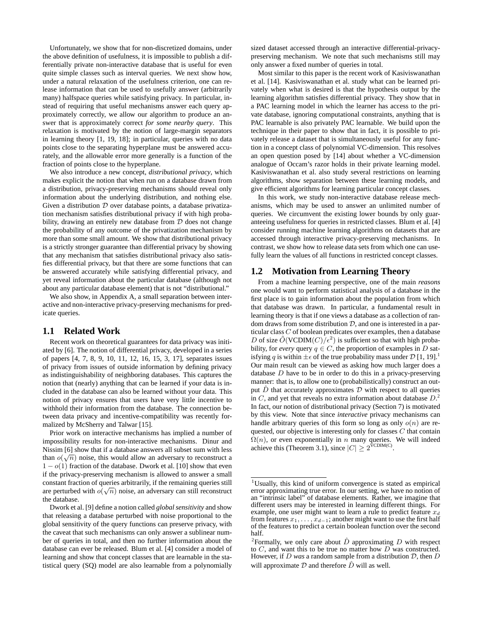Unfortunately, we show that for non-discretized domains, under the above definition of usefulness, it is impossible to publish a differentially private non-interactive database that is useful for even quite simple classes such as interval queries. We next show how, under a natural relaxation of the usefulness criterion, one can release information that can be used to usefully answer (arbitrarily many) halfspace queries while satisfying privacy. In particular, instead of requiring that useful mechanisms answer each query approximately correctly, we allow our algorithm to produce an answer that is approximately correct *for some nearby query*. This relaxation is motivated by the notion of large-margin separators in learning theory [1, 19, 18]; in particular, queries with no data points close to the separating hyperplane must be answered accurately, and the allowable error more generally is a function of the fraction of points close to the hyperplane.

We also introduce a new concept, *distributional privacy*, which makes explicit the notion that when run on a database drawn from a distribution, privacy-preserving mechanisms should reveal only information about the underlying distribution, and nothing else. Given a distribution  $D$  over database points, a database privatization mechanism satisfies distributional privacy if with high probability, drawing an entirely new database from  $D$  does not change the probability of any outcome of the privatization mechanism by more than some small amount. We show that distributional privacy is a strictly stronger guarantee than differential privacy by showing that any mechanism that satisfies distributional privacy also satisfies differential privacy, but that there are some functions that can be answered accurately while satisfying differential privacy, and yet reveal information about the particular database (although not about any particular database element) that is not "distributional."

We also show, in Appendix A, a small separation between interactive and non-interactive privacy-preserving mechanisms for predicate queries.

#### **1.1 Related Work**

Recent work on theoretical guarantees for data privacy was initiated by [6]. The notion of differential privacy, developed in a series of papers [4, 7, 8, 9, 10, 11, 12, 16, 15, 3, 17], separates issues of privacy from issues of outside information by defining privacy as indistinguishability of neighboring databases. This captures the notion that (nearly) anything that can be learned if your data is included in the database can also be learned without your data. This notion of privacy ensures that users have very little incentive to withhold their information from the database. The connection between data privacy and incentive-compatibility was recently formalized by McSherry and Talwar [15].

Prior work on interactive mechanisms has implied a number of impossibility results for non-interactive mechanisms. Dinur and Nissim [6] show that if a database answers all subset sum with less than  $o(\sqrt{n})$  noise, this would allow an adversary to reconstruct a  $1 - o(1)$  fraction of the database. Dwork et al. [10] show that even if the privacy-preserving mechanism is allowed to answer a small constant fraction of queries arbitrarily, if the remaining queries still are perturbed with  $o(\sqrt{n})$  noise, an adversary can still reconstruct the database.

Dwork et al. [9] define a notion called *global sensitivity* and show that releasing a database perturbed with noise proportional to the global sensitivity of the query functions can preserve privacy, with the caveat that such mechanisms can only answer a sublinear number of queries in total, and then no further information about the database can ever be released. Blum et al. [4] consider a model of learning and show that concept classes that are learnable in the statistical query (SQ) model are also learnable from a polynomially

sized dataset accessed through an interactive differential-privacypreserving mechanism. We note that such mechanisms still may only answer a fixed number of queries in total.

Most similar to this paper is the recent work of Kasiviswanathan et al. [14]. Kasiviswanathan et al. study what can be learned privately when what is desired is that the hypothesis output by the learning algorithm satisfies differential privacy. They show that in a PAC learning model in which the learner has access to the private database, ignoring computational constraints, anything that is PAC learnable is also privately PAC learnable. We build upon the technique in their paper to show that in fact, it is possible to privately release a dataset that is simultaneously useful for any function in a concept class of polynomial VC-dimension. This resolves an open question posed by [14] about whether a VC-dimension analogue of Occam's razor holds in their private learning model. Kasiviswanathan et al. also study several restrictions on learning algorithms, show separation between these learning models, and give efficient algorithms for learning particular concept classes.

In this work, we study non-interactive database release mechanisms, which may be used to answer an unlimited number of queries. We circumvent the existing lower bounds by only guaranteeing usefulness for queries in restricted classes. Blum et al. [4] consider running machine learning algorithms on datasets that are accessed through interactive privacy-preserving mechanisms. In contrast, we show how to release data sets from which one can usefully learn the values of all functions in restricted concept classes.

#### **1.2 Motivation from Learning Theory**

From a machine learning perspective, one of the main *reasons* one would want to perform statistical analysis of a database in the first place is to gain information about the population from which that database was drawn. In particular, a fundamental result in learning theory is that if one views a database as a collection of random draws from some distribution  $D$ , and one is interested in a particular class C of boolean predicates over examples, then a database D of size  $\tilde{O}(\text{VCDIM}(C)/\epsilon^2)$  is sufficient so that with high probability, for *every* query  $q \in C$ , the proportion of examples in D satisfying q is within  $\pm \epsilon$  of the true probability mass under  $\mathcal{D}[1, 19]$ .<sup>1</sup> Our main result can be viewed as asking how much larger does a database  $D$  have to be in order to do this in a privacy-preserving manner: that is, to allow one to (probabilistically) construct an output  $D$  that accurately approximates  $D$  with respect to all queries in  $C$ , and yet that reveals no extra information about database  $D^2$ . In fact, our notion of distributional privacy (Section 7) is motivated by this view. Note that since *interactive* privacy mechanisms can handle arbitrary queries of this form so long as only  $o(n)$  are requested, our objective is interesting only for classes  $C$  that contain  $\Omega(n)$ , or even exponentially in n many queries. We will indeed achieve this (Theorem 3.1), since  $|C| \ge 2^{\text{VCDIM}(C)}$ .

<sup>&</sup>lt;sup>1</sup>Usually, this kind of uniform convergence is stated as empirical error approximating true error. In our setting, we have no notion of an "intrinsic label" of database elements. Rather, we imagine that different users may be interested in learning different things. For example, one user might want to learn a rule to predict feature  $x_d$ from features  $x_1, \ldots, x_{d-1}$ ; another might want to use the first half of the features to predict a certain boolean function over the second half.

<sup>&</sup>lt;sup>2</sup> Formally, we only care about  $\hat{D}$  approximating D with respect to  $C$ , and want this to be true no matter how  $D$  was constructed. However, if D *was* a random sample from a distribution D, then D will approximate  $D$  and therefore  $\hat{D}$  will as well.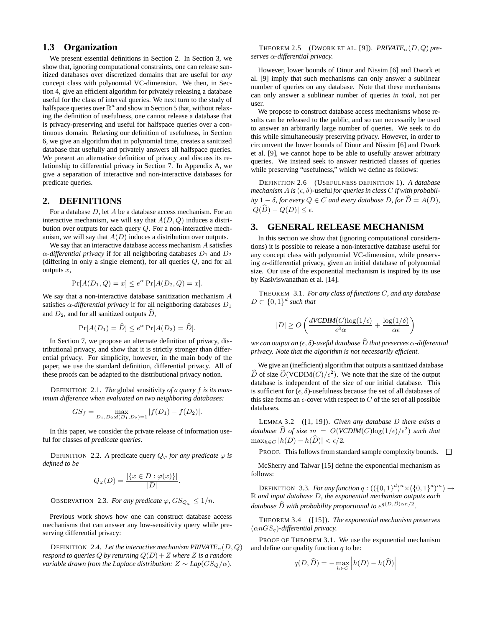# **1.3 Organization**

We present essential definitions in Section 2. In Section 3, we show that, ignoring computational constraints, one can release sanitized databases over discretized domains that are useful for *any* concept class with polynomial VC-dimension. We then, in Section 4, give an efficient algorithm for privately releasing a database useful for the class of interval queries. We next turn to the study of halfspace queries over  $\mathbb{R}^d$  and show in Section 5 that, without relaxing the definition of usefulness, one cannot release a database that is privacy-preserving and useful for halfspace queries over a continuous domain. Relaxing our definition of usefulness, in Section 6, we give an algorithm that in polynomial time, creates a sanitized database that usefully and privately answers all halfspace queries. We present an alternative definition of privacy and discuss its relationship to differential privacy in Section 7. In Appendix A, we give a separation of interactive and non-interactive databases for predicate queries.

#### **2. DEFINITIONS**

For a database  $D$ , let  $A$  be a database access mechanism. For an interactive mechanism, we will say that  $A(D, Q)$  induces a distribution over outputs for each query Q. For a non-interactive mechanism, we will say that  $A(D)$  induces a distribution over outputs.

We say that an interactive database access mechanism  $A$  satisfies  $\alpha$ -differential privacy if for all neighboring databases  $D_1$  and  $D_2$ (differing in only a single element), for all queries Q, and for all outputs  $x$ ,

$$
Pr[A(D_1, Q) = x] \le e^{\alpha} Pr[A(D_2, Q) = x].
$$

We say that a non-interactive database sanitization mechanism A satisfies  $\alpha$ -differential privacy if for all neighboring databases  $D_1$ and  $D_2$ , and for all sanitized outputs  $\hat{D}$ ,

$$
\Pr[A(D_1) = \widehat{D}] \le e^{\alpha} \Pr[A(D_2) = \widehat{D}].
$$

In Section 7, we propose an alternate definition of privacy, distributional privacy, and show that it is strictly stronger than differential privacy. For simplicity, however, in the main body of the paper, we use the standard definition, differential privacy. All of these proofs can be adapted to the distributional privacy notion.

DEFINITION 2.1. *The* global sensitivity *of a query* f *is its maximum difference when evaluated on two neighboring databases:*

$$
GS_f = \max_{D_1, D_2: d(D_1, D_2) = 1} |f(D_1) - f(D_2)|.
$$

In this paper, we consider the private release of information useful for classes of *predicate queries*.

DEFINITION 2.2. A predicate query  $Q_{\varphi}$  *for any predicate*  $\varphi$  *is defined to be*

$$
Q_{\varphi}(D) = \frac{|\{x \in D : \varphi(x)\}|}{|D|}.
$$

OBSERVATION 2.3. *For any predicate*  $\varphi$ ,  $GS_{Q_{\varphi}} \leq 1/n$ .

Previous work shows how one can construct database access mechanisms that can answer any low-sensitivity query while preserving differential privacy:

DEFINITION 2.4. Let the interactive mechanism  $PRIVATE_{\alpha}(D, Q)$ *respond to queries*  $Q$  *by returning*  $Q(D) + Z$  *where*  $Z$  *is a random variable drawn from the Laplace distribution:*  $Z \sim Lap(GS_O/\alpha)$ .

THEOREM 2.5 (DWORK ET AL. [9]).  $PRIVATE_{\alpha}(D, Q)$  *preserves* α*-differential privacy.*

However, lower bounds of Dinur and Nissim [6] and Dwork et al. [9] imply that such mechanisms can only answer a sublinear number of queries on any database. Note that these mechanisms can only answer a sublinear number of queries *in total*, not per user.

We propose to construct database access mechanisms whose results can be released to the public, and so can necessarily be used to answer an arbitrarily large number of queries. We seek to do this while simultaneously preserving privacy. However, in order to circumvent the lower bounds of Dinur and Nissim [6] and Dwork et al. [9], we cannot hope to be able to usefully answer arbitrary queries. We instead seek to answer restricted classes of queries while preserving "usefulness," which we define as follows:

DEFINITION 2.6 (USEFULNESS DEFINITION 1). *A database*  $\mathit{mechanism\ A\ is\ (\epsilon,\delta)}$ -useful *for queries in class C if with probability*  $1 - \delta$ *, for every*  $Q \in C$  *and every database*  $D$ *, for*  $\widehat{D} = A(D)$ *,*  $|Q(\widehat{D}) - Q(D)| \leq \epsilon.$ 

#### **3. GENERAL RELEASE MECHANISM**

In this section we show that (ignoring computational considerations) it is possible to release a non-interactive database useful for any concept class with polynomial VC-dimension, while preserving  $\alpha$ -differential privacy, given an initial database of polynomial size. Our use of the exponential mechanism is inspired by its use by Kasiviswanathan et al. [14].

THEOREM 3.1. *For any class of functions* C*, and any database*  $D \subset \{0,1\}^d$  such that

$$
|D| \geq O\left(\frac{dVCDIM(C)\text{log}(1/\epsilon)}{\epsilon^3\alpha} + \frac{\text{log}(1/\delta)}{\alpha\epsilon}\right)
$$

*we can output an (* $\epsilon$ ,  $\delta$ )-*useful database*  $\widehat{D}$  *that preserves*  $\alpha$ -differential *privacy. Note that the algorithm is not necessarily efficient.*

We give an (inefficient) algorithm that outputs a sanitized database  $\widehat{D}$  of size  $\widetilde{O}(\text{VCDIM}(C)/\epsilon^2)$ . We note that the size of the output database is independent of the size of our initial database. This is sufficient for  $(\epsilon, \delta)$ -usefulness because the set of all databases of this size forms an  $\epsilon$ -cover with respect to C of the set of all possible databases.

LEMMA 3.2 ([1, 19]). *Given any database* D *there exists a database*  $\widehat{D}$  *of size*  $m = O(VCDIM(C)log(1/\epsilon)/\epsilon^2)$  *such that*  $\max_{h \in C} |h(D) - h(\widehat{D})| < \epsilon/2.$ 

**PROOF.** This follows from standard sample complexity bounds.  $\Box$ 

McSherry and Talwar [15] define the exponential mechanism as follows:

DEFINITION 3.3. For any function  $q: (({0,1}^d)^n \times ({0,1}^d)^m) \rightarrow$ R *and input database* D*, the exponential mechanism outputs each database*  $\widehat{D}$  *with probability proportional to*  $e^{q(D,\widehat{D})\alpha n/2}$ .

THEOREM 3.4 ([15]). *The exponential mechanism preserves* (αnGSq)*-differential privacy.*

PROOF OF THEOREM 3.1. We use the exponential mechanism and define our quality function  $q$  to be:

$$
q(D, \widehat{D}) = -\max_{h \in C} \left| h(D) - h(\widehat{D}) \right|
$$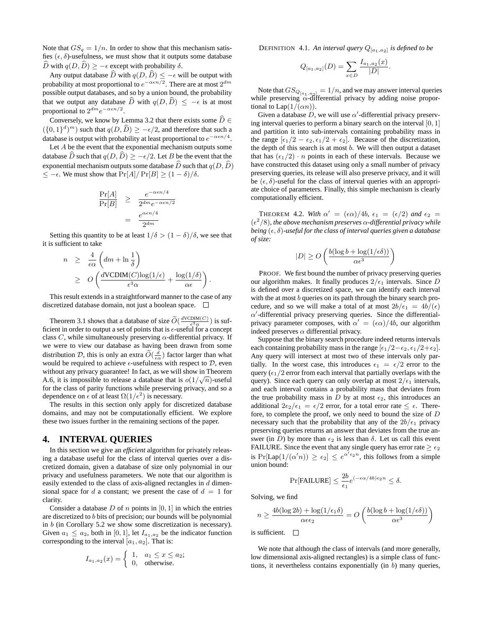Note that  $GS_q = 1/n$ . In order to show that this mechanism satisfies  $(\epsilon, \delta)$ -usefulness, we must show that it outputs some database  $\widehat{D}$  with  $q(D, \widehat{D}) \geq -\epsilon$  except with probability  $\delta$ .

Any output database D with  $q(D, D) \le -\epsilon$  will be output with probability at most proportional to  $e^{-\alpha \epsilon n/2}$ . There are at most  $2^{dm}$ possible output databases, and so by a union bound, the probability that we output any database  $\widehat{D}$  with  $q(D, \widehat{D})$  <  $-\epsilon$  is at most proportional to  $2^{dm}e^{-\alpha \epsilon n/2}$ .

Conversely, we know by Lemma 3.2 that there exists some  $\hat{D} \in$  $(\{0,1\}^d)^m$  such that  $q(D,\widehat{D}) \geq -\epsilon/2$ , and therefore that such a database is output with probability at least proportional to  $e^{-\alpha \epsilon n/4}$ .

Let  $A$  be the event that the exponential mechanism outputs some database  $\widehat{D}$  such that  $q(D, \widehat{D}) \ge -\epsilon/2$ . Let B be the event that the exponential mechanism outputs some database  $\widehat{D}$  such that  $q(D, \widehat{D})$  $\leq -\epsilon$ . We must show that Pr[A]/Pr[B] ≥  $(1 - \delta)/\delta$ .

$$
\frac{\Pr[A]}{\Pr[B]} \ge \frac{e^{-\alpha \epsilon n/4}}{2^{dm} e^{-\alpha \epsilon n/2}}
$$

$$
= \frac{e^{\alpha \epsilon n/4}}{2^{dm}}
$$

Setting this quantity to be at least  $1/\delta > (1 - \delta)/\delta$ , we see that it is sufficient to take

$$
n \geq \frac{4}{\epsilon \alpha} \left( dm + \ln \frac{1}{\delta} \right)
$$
  
 
$$
\geq O \left( \frac{d \text{VCDIM}(C) \log(1/\epsilon)}{\epsilon^3 \alpha} + \frac{\log(1/\delta)}{\alpha \epsilon} \right)
$$

.

This result extends in a straightforward manner to the case of any discretized database domain, not just a boolean space.  $\Box$ 

Theorem 3.1 shows that a database of size  $\widetilde{O}(\frac{dVCDIM(C)}{\epsilon^3 \alpha})$  is suf-Ficient in order to output a set of points that is  $\epsilon$ -useful for a concept class C, while simultaneously preserving  $\alpha$ -differential privacy. If we were to view our database as having been drawn from some distribution D, this is only an extra  $\widetilde{O}(\frac{d}{\epsilon \alpha})$  factor larger than what would be required to achieve  $\epsilon$ -usefulness with respect to  $\mathcal{D}$ , even without any privacy guarantee! In fact, as we will show in Theorem A.6, it is impossible to release a database that is  $o(1/\sqrt{n})$ -useful for the class of parity functions while preserving privacy, and so a dependence on  $\epsilon$  of at least  $\Omega(1/\epsilon^2)$  is necessary.

The results in this section only apply for discretized database domains, and may not be computationally efficient. We explore these two issues further in the remaining sections of the paper.

#### **4. INTERVAL QUERIES**

In this section we give an *efficient* algorithm for privately releasing a database useful for the class of interval queries over a discretized domain, given a database of size only polynomial in our privacy and usefulness parameters. We note that our algorithm is easily extended to the class of axis-aligned rectangles in  $d$  dimensional space for d a constant; we present the case of  $d = 1$  for clarity.

Consider a database  $D$  of  $n$  points in [0, 1] in which the entries are discretized to b bits of precision; our bounds will be polynomial in b (in Corollary 5.2 we show some discretization is necessary). Given  $a_1 \le a_2$ , both in [0, 1], let  $I_{a_1,a_2}$  be the indicator function corresponding to the interval  $[a_1, a_2]$ . That is:

$$
I_{a_1,a_2}(x) = \begin{cases} 1, & a_1 \leq x \leq a_2; \\ 0, & \text{otherwise.} \end{cases}
$$

DEFINITION 4.1. An interval query  $Q_{[a_1, a_2]}$  is defined to be

$$
Q_{[a_1,a_2]}(D) = \sum_{x \in D} \frac{I_{a_1,a_2}(x)}{|D|}.
$$

Note that  $GS_{Q[a_1,a_2]} = 1/n$ , and we may answer interval queries while preserving  $\alpha$ -differential privacy by adding noise proportional to  $\text{Lap}(1/(\alpha n))$ .

Given a database  $\overline{D}$ , we will use  $\alpha'$ -differential privacy preserving interval queries to perform a binary search on the interval [0, 1] and partition it into sub-intervals containing probability mass in the range  $[\epsilon_1/2 - \epsilon_2, \epsilon_1/2 + \epsilon_2]$ . Because of the discretization, the depth of this search is at most  $b$ . We will then output a dataset that has  $(\epsilon_1/2) \cdot n$  points in each of these intervals. Because we have constructed this dataset using only a small number of privacy preserving queries, its release will also preserve privacy, and it will be  $(\epsilon, \delta)$ -useful for the class of interval queries with an appropriate choice of parameters. Finally, this simple mechanism is clearly computationally efficient.

THEOREM 4.2. *With*  $\alpha' = (\epsilon \alpha)/4b$ ,  $\epsilon_1 = (\epsilon/2)$  *and*  $\epsilon_2 =$  $(\epsilon^2/8)$ , the above mechanism preserves  $\alpha$ -differential privacy while *being*  $(\epsilon, \delta)$ -useful for the class of interval queries given a database *of size:*

$$
|D| \geq O\left(\frac{b(\log b + \log(1/\epsilon\delta))}{\alpha \epsilon^3}\right)
$$

PROOF. We first bound the number of privacy preserving queries our algorithm makes. It finally produces  $2/\epsilon_1$  intervals. Since D is defined over a discretized space, we can identify each interval with the at most b queries on its path through the binary search procedure, and so we will make a total of at most  $2b/\epsilon_1 = 4b/(\epsilon)$  $\alpha'$ -differential privacy preserving queries. Since the differentialprivacy parameter composes, with  $\alpha' = (\epsilon \alpha)/4b$ , our algorithm indeed preserves  $\alpha$  differential privacy.

Suppose that the binary search procedure indeed returns intervals each containing probability mass in the range  $[\epsilon_1/2-\epsilon_2, \epsilon_1/2+\epsilon_2]$ . Any query will intersect at most two of these intervals only partially. In the worst case, this introduces  $\epsilon_1 = \epsilon/2$  error to the query ( $\epsilon_1/2$  error from each interval that partially overlaps with the query). Since each query can only overlap at most  $2/\epsilon_1$  intervals, and each interval contains a probability mass that deviates from the true probability mass in D by at most  $\epsilon_2$ , this introduces an additional  $2\epsilon_2/\epsilon_1 = \epsilon/2$  error, for a total error rate  $\leq \epsilon$ . Therefore, to complete the proof, we only need to bound the size of D necessary such that the probability that any of the  $2b/\epsilon_1$  privacy preserving queries returns an answer that deviates from the true answer (in D) by more than  $\epsilon_2$  is less than  $\delta$ . Let us call this event FAILURE. Since the event that any single query has error rate  $\geq \epsilon_2$ is  $Pr[Lap(1/(\alpha' n)) \ge \epsilon_2] \le e^{\alpha' \epsilon_2 n}$ , this follows from a simple union bound:

$$
\Pr[\text{FAILURE}] \le \frac{2b}{\epsilon_1} e^{(-\epsilon \alpha/4b)\epsilon_2 n} \le \delta.
$$

Solving, we find

$$
n \ge \frac{4b(\log 2b) + \log(1/\epsilon_1 \delta)}{\alpha \epsilon \epsilon_2} = O\left(\frac{b(\log b + \log(1/\epsilon \delta))}{\alpha \epsilon^3}\right)
$$

is sufficient.  $\square$ 

We note that although the class of intervals (and more generally, low dimensional axis-aligned rectangles) is a simple class of functions, it nevertheless contains exponentially (in b) many queries,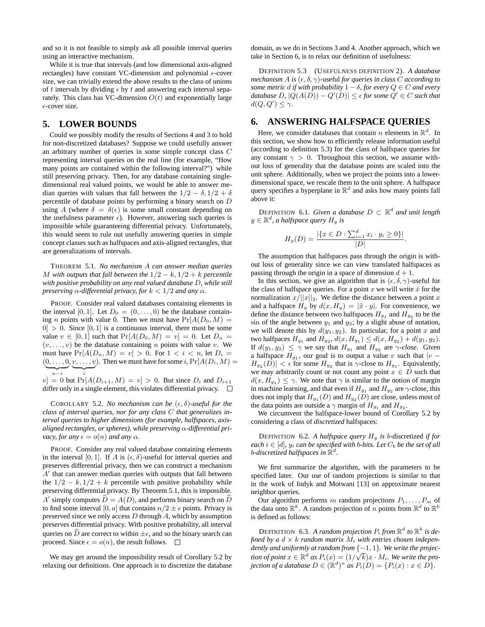and so it is not feasible to simply ask all possible interval queries using an interactive mechanism.

While it is true that intervals (and low dimensional axis-aligned rectangles) have constant VC-dimension and polynomial  $\epsilon$ -cover size, we can trivially extend the above results to the class of unions of t intervals by dividing  $\epsilon$  by t and answering each interval separately. This class has VC-dimension  $O(t)$  and exponentially large  $\epsilon$ -cover size.

# **5. LOWER BOUNDS**

Could we possibly modify the results of Sections 4 and 3 to hold for non-discretized databases? Suppose we could usefully answer an arbitrary number of queries in some simple concept class C representing interval queries on the real line (for example, "How many points are contained within the following interval?") while still preserving privacy. Then, for any database containing singledimensional real valued points, we would be able to answer median queries with values that fall between the  $1/2 - \delta$ ,  $1/2 + \delta$ percentile of database points by performing a binary search on D using A (where  $\delta = \delta(\epsilon)$  is some small constant depending on the usefulness parameter  $\epsilon$ ). However, answering such queries is impossible while guaranteeing differential privacy. Unfortunately, this would seem to rule out usefully answering queries in simple concept classes such as halfspaces and axis-aligned rectangles, that are generalizations of intervals.

THEOREM 5.1. *No mechanism* A *can answer median queries* M with outputs that fall between the  $1/2 - k$ ,  $1/2 + k$  percentile *with positive probability on any real valued database* D*, while still preserving*  $\alpha$ -differential privacy, for  $k < 1/2$  and any  $\alpha$ *.* 

PROOF. Consider real valued databases containing elements in the interval [0, 1]. Let  $D_0 = (0, \ldots, 0)$  be the database containing *n* points with value 0. Then we must have  $Pr[A(D_0, M)] =$  $|0| > 0$ . Since  $[0, 1]$  is a continuous interval, there must be some value  $v \in [0,1]$  such that  $Pr[A(D_0, M) = v] = 0$ . Let  $D_n =$  $(v, \ldots, v)$  be the database containing *n* points with value *v*. We must have  $Pr[A(D_n, M) = v] > 0$ . For  $1 < i < n$ , let  $D_i =$  $(0, \ldots, 0, v, \ldots, v)$ . Then we must have for some i,  $Pr[A(D_i, M)] =$  $\sum_{n-i}$  $\rightarrow$ i

 $v = 0$  but  $Pr[A(D_{i+1}, M) = v] > 0$ . But since  $D_i$  and  $D_{i+1}$ differ only in a single element, this violates differential privacy.  $\Box$ 

COROLLARY 5.2. *No mechanism can be*  $(\epsilon, \delta)$ -useful for the *class of interval queries, nor for any class* C *that generalizes interval queries to higher dimensions (for example, halfspaces, axisaligned rectangles, or spheres), while preserving* α*-differential privacy, for any*  $\epsilon = o(n)$  *and any*  $\alpha$ *.* 

PROOF. Consider any real valued database containing elements in the interval [0, 1]. If A is  $(\epsilon, \delta)$ -useful for interval queries and preserves differential privacy, then we can construct a mechanism  $A'$  that can answer median queries with outputs that fall between the  $1/2 - k$ ,  $1/2 + k$  percentile with positive probability while preserving differential privacy. By Theorem 5.1, this is impossible. A' simply computes  $\hat{D} = A(D)$ , and performs binary search on  $\hat{D}$ to find some interval [0, a] that contains  $n/2 \pm \epsilon$  points. Privacy is preserved since we only access  $D$  through  $A$ , which by assumption preserves differential privacy. With positive probability, all interval queries on  $\hat{D}$  are correct to within  $\pm \epsilon$ , and so the binary search can proceed. Since  $\epsilon = o(n)$ , the result follows.  $\Box$ 

We may get around the impossibility result of Corollary 5.2 by relaxing our definitions. One approach is to discretize the database domain, as we do in Sections 3 and 4. Another approach, which we take in Section 6, is to relax our definition of usefulness:

DEFINITION 5.3 (USEFULNESS DEFINITION 2). *A database mechanism* A *is* ( $\epsilon$ ,  $\delta$ ,  $\gamma$ )-useful *for queries in class* C *according to some metric d if with probability*  $1 - \delta$ *, for every*  $Q \in \mathbb{C}$  *and every*  $database \ D, |Q(A(D)) - Q'(D)| \leq \epsilon for some \ Q' \in C \ such \ that$  $d(Q, Q') \leq \gamma.$ 

# **6. ANSWERING HALFSPACE QUERIES**

Here, we consider databases that contain n elements in  $\mathbb{R}^d$ . In this section, we show how to efficiently release information useful (according to definition 5.3) for the class of halfspace queries for any constant  $\gamma > 0$ . Throughout this section, we assume without loss of generality that the database points are scaled into the unit sphere. Additionally, when we project the points into a lowerdimensional space, we rescale them to the unit sphere. A halfspace query specifies a hyperplane in  $\mathbb{R}^d$  and asks how many points fall above it:

DEFINITION 6.1. *Given a database*  $D \subset \mathbb{R}^d$  *and unit length*  $y \in \mathbb{R}^d$ , a halfspace query  $H_y$  is

$$
H_y(D) = \frac{|\{x \in D : \sum_{i=1}^d x_i \cdot y_i \ge 0\}|}{|D|}.
$$

The assumption that halfspaces pass through the origin is without loss of generality since we can view translated halfspaces as passing through the origin in a space of dimension  $d + 1$ .

In this section, we give an algorithm that is  $(\epsilon, \delta, \gamma)$ -useful for the class of halfspace queries. For a point x we will write  $\hat{x}$  for the normalization  $x/||x||_2$ . We define the distance between a point x and a halfspace  $H_y$  by  $d(x, H_y) = |\hat{x} \cdot y|$ . For convenience, we define the distance between two halfspaces  $H_{y_1}$  and  $H_{y_2}$  to be the sin of the angle between  $y_1$  and  $y_2$ ; by a slight abuse of notation, we will denote this by  $d(y_1, y_2)$ . In particular, for a point x and two halfpaces  $H_{y_1}$  and  $H_{y_2}$ ,  $d(x, H_{y_1}) \leq d(x, H_{y_2}) + d(y_1, y_2)$ . If  $d(y_1, y_2) \leq \gamma$  we say that  $H_{y_1}$  and  $H_{y_2}$  are  $\gamma$ -close. Given a halfspace  $H_{y_1}$ , our goal is to output a value v such that  $|v |H_{y_2}(D)| < \epsilon$  for some  $H_{y_2}$  that is  $\gamma$ -close to  $H_{y_1}$ . Equivalently, we may arbitrarily count or not count any point  $x \in D$  such that  $d(x, H_{y_1}) \leq \gamma$ . We note that  $\gamma$  is similar to the notion of margin in machine learning, and that even if  $H_{y_1}$  and  $H_{y_2}$  are  $\gamma$ -close, this does not imply that  $H_{y_1}(D)$  and  $H_{y_2}(D)$  are close, unless most of the data points are outside a  $\gamma$  margin of  $H_{y_1}$  and  $H_{y_2}$ .

We circumvent the halfspace-lower bound of Corollary 5.2 by considering a class of *discretized* halfspaces:

**DEFINITION** 6.2. A halfspace query  $H<sub>y</sub>$  is b-discretized *if for each*  $i \in [d]$ ,  $y_i$  *can be specified with b-bits. Let*  $C_b$  *be the set of all* b-discretized halfspaces in  $\mathbb{R}^d$ .

We first summarize the algorithm, with the parameters to be specified later. Our use of random projections is similar to that in the work of Indyk and Motwani [13] on approximate nearest neighbor queries.

Our algorithm performs m random projections  $P_1, \ldots, P_m$  of the data onto  $\mathbb{R}^k$ . A random projection of *n* points from  $\mathbb{R}^d$  to  $\mathbb{R}^k$ is defined as follows:

DEFINITION 6.3. A random projection  $P_i$  from  $\mathbb{R}^d$  to  $\mathbb{R}^k$  is defined by  $a \, d \times k$  *random matrix*  $M_i$  *with entries chosen independently and uniformly at random from* {−1, 1}*. We write the projection of point*  $x \in \mathbb{R}^d$  as  $P_i(x) = (1/\sqrt{k})x \cdot M_i$ *. We write the projection of a database*  $D \in (\mathbb{R}^d)^n$  *as*  $P_i(D) = \{P_i(x) : x \in D\}.$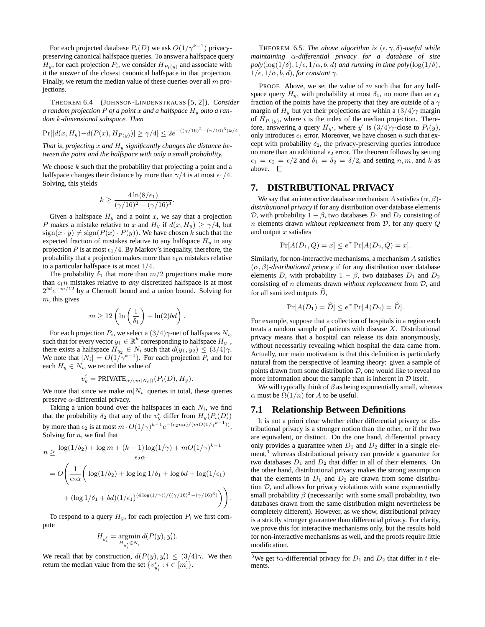For each projected database  $P_i(D)$  we ask  $O(1/\gamma^{k-1})$  privacypreserving canonical halfspace queries. To answer a halfspace query  $H_y$ , for each projection  $P_i$ , we consider  $H_{P_i(y)}$  and associate with it the answer of the closest canonical halfspace in that projection. Finally, we return the median value of these queries over all  $m$  projections.

THEOREM 6.4 (JOHNSON-LINDENSTRAUSS [5, 2]). *Consider a random projection* P *of a point* x *and a halfspace* H<sup>y</sup> *onto a random* k*-dimensional subspace. Then*

$$
\Pr[|d(x, H_y) - d(P(x), H_{P(y)})| \ge \gamma/4] \le 2e^{-((\gamma/16)^2 - (\gamma/16)^3)k/4}.
$$

*That is, projecting* x *and* H<sup>y</sup> *significantly changes the distance between the point and the halfspace with only a small probability.*

We choose  $k$  such that the probability that projecting a point and a halfspace changes their distance by more than  $\gamma/4$  is at most  $\epsilon_1/4$ . Solving, this yields

$$
k \ge \frac{4\ln(8/\epsilon_1)}{(\gamma/16)^2 - (\gamma/16)^3}
$$

.

Given a halfspace  $H_y$  and a point x, we say that a projection P makes a mistake relative to x and  $H_y$  if  $d(x, H_y) \ge \gamma/4$ , but  $sign(x \cdot y) \neq sign(P(x) \cdot P(y))$ . We have chosen k such that the expected fraction of mistakes relative to any halfspace  $H<sub>y</sub>$  in any projection P is at most  $\epsilon_1/4$ . By Markov's inequality, therefore, the probability that a projection makes more than  $\epsilon_1 n$  mistakes relative to a particular halfspace is at most 1/4.

The probability  $\delta_1$  that more than  $m/2$  projections make more than  $\epsilon_1 n$  mistakes relative to *any* discretized halfspace is at most  $2^{bd}e^{-m/12}$  by a Chernoff bound and a union bound. Solving for  $m$ , this gives

$$
m \geq 12\left(\ln\left(\frac{1}{\delta_1}\right) + \ln(2)bd\right).
$$

For each projection  $P_i$ , we select a  $\left(\frac{3}{4}\right)\gamma$ -net of halfspaces  $N_i$ , such that for every vector  $y_1 \in \mathbb{R}^k$  corresponding to halfspace  $H_{y_1}$ , there exists a halfspace  $H_{y_2} \in N_i$  such that  $d(y_1, y_2) \leq (3/4)\gamma$ . We note that  $|N_i| = O(1/\gamma^{k-1})$ . For each projection  $P_i$  and for each  $H_y \in N_i$ , we record the value of

$$
v_y^i = \text{PRIVATE}_{\alpha/(m|N_i|)}(P_i(D), H_y).
$$

We note that since we make  $m|N_i|$  queries in total, these queries preserve  $\alpha$ -differential privacy.

Taking a union bound over the halfspaces in each  $N_i$ , we find that the probability  $\delta_2$  that any of the  $v_y^i$  differ from  $H_y(P_i(D))$ by more than  $\epsilon_2$  is at most  $m \cdot O(1/\gamma)^{k-1} e^{-(\epsilon_2 n\alpha)/(mO(1/\gamma^{k-1}))}$ . Solving for  $n$ , we find that

$$
n \ge \frac{\log(1/\delta_2) + \log m + (k-1)\log(1/\gamma) + mO(1/\gamma)^{k-1}}{\epsilon_2 \alpha}
$$
  
= 
$$
O\left(\frac{1}{\epsilon_2 \alpha} \left( \log(1/\delta_2) + \log \log 1/\delta_1 + \log bd + \log(1/\epsilon_1) + (\log 1/\delta_1 + bd)(1/\epsilon_1)^{(4\log(1/\gamma))/((\gamma/16)^2 - (\gamma/16)^3)} \right) \right).
$$

To respond to a query  $H<sub>y</sub>$ , for each projection  $P<sub>i</sub>$  we first compute

$$
H_{y'_i} = \operatornamewithlimits{argmin}_{H_{y'_i} \in N_i} d(P(y), y'_i).
$$

We recall that by construction,  $d(P(y), y_i') \leq (3/4)\gamma$ . We then return the median value from the set  $\{v_{y'_i}^i : i \in [m]\}.$ 

THEOREM 6.5. *The above algorithm is*  $(\epsilon, \gamma, \delta)$ -useful while *maintaining* α*-differential privacy for a database of size*  $poly(log(1/\delta), 1/\epsilon, 1/\alpha, b, d)$  *and running in time poly* $(log(1/\delta),$  $1/\epsilon$ ,  $1/\alpha$ *, b, d), for constant*  $\gamma$ *.* 

PROOF. Above, we set the value of  $m$  such that for any halfspace query  $H_y$ , with probability at most  $\delta_1$ , no more than an  $\epsilon_1$ fraction of the points have the property that they are outside of a  $\gamma$ margin of  $H_y$  but yet their projections are within a  $(3/4)\gamma$  margin of  $H_{P_i(y)}$ , where i is the index of the median projection. Therefore, answering a query  $H_{y'}$ , where y' is  $(3/4)\gamma$ -close to  $P_i(y)$ , only introduces  $\epsilon_1$  error. Moreover, we have chosen n such that except with probability  $\delta_2$ , the privacy-preserving queries introduce no more than an additional  $\epsilon_2$  error. The theorem follows by setting  $\epsilon_1 = \epsilon_2 = \epsilon/2$  and  $\delta_1 = \delta_2 = \delta/2$ , and setting n, m, and k as above.  $\square$ 

## **7. DISTRIBUTIONAL PRIVACY**

We say that an interactive database mechanism A satisfies  $(\alpha, \beta)$ *distributional privacy* if for any distribution over database elements D, with probability  $1 - \beta$ , two databases  $D_1$  and  $D_2$  consisting of n elements drawn *without replacement* from D, for any query Q and output  $x$  satisfies

$$
Pr[A(D_1, Q) = x] \le e^{\alpha} Pr[A(D_2, Q) = x].
$$

Similarly, for non-interactive mechanisms, a mechanism A satisfies (α, β)*-distributional privacy* if for any distribution over database elements D, with probability  $1 - \beta$ , two databases  $D_1$  and  $D_2$ consisting of n elements drawn *without replacement* from D, and for all sanitized outputs  $\widehat{D}$ ,

$$
\Pr[A(D_1) = \widehat{D}] \le e^{\alpha} \Pr[A(D_2) = \widehat{D}].
$$

For example, suppose that a collection of hospitals in a region each treats a random sample of patients with disease  $X$ . Distributional privacy means that a hospital can release its data anonymously, without necessarily revealing which hospital the data came from. Actually, our main motivation is that this definition is particularly natural from the perspective of learning theory: given a sample of points drawn from some distribution  $D$ , one would like to reveal no more information about the sample than is inherent in  $D$  itself.

We will typically think of  $\beta$  as being exponentially small, whereas  $\alpha$  must be  $\Omega(1/n)$  for A to be useful.

## **7.1 Relationship Between Definitions**

It is not a priori clear whether either differential privacy or distributional privacy is a stronger notion than the other, or if the two are equivalent, or distinct. On the one hand, differential privacy only provides a guarantee when  $D_1$  and  $D_2$  differ in a single element,<sup>3</sup> whereas distributional privacy can provide a guarantee for two databases  $D_1$  and  $D_2$  that differ in all of their elements. On the other hand, distributional privacy makes the strong assumption that the elements in  $D_1$  and  $D_2$  are drawn from some distribution  $D$ , and allows for privacy violations with some exponentially small probability  $\beta$  (necessarily: with some small probability, two databases drawn from the same distribution might nevertheless be completely different). However, as we show, distributional privacy is a strictly stronger guarantee than differential privacy. For clarity, we prove this for interactive mechanisms only, but the results hold for non-interactive mechanisms as well, and the proofs require little modification.

<sup>&</sup>lt;sup>3</sup>We get t $\alpha$ -differential privacy for  $D_1$  and  $D_2$  that differ in t elements.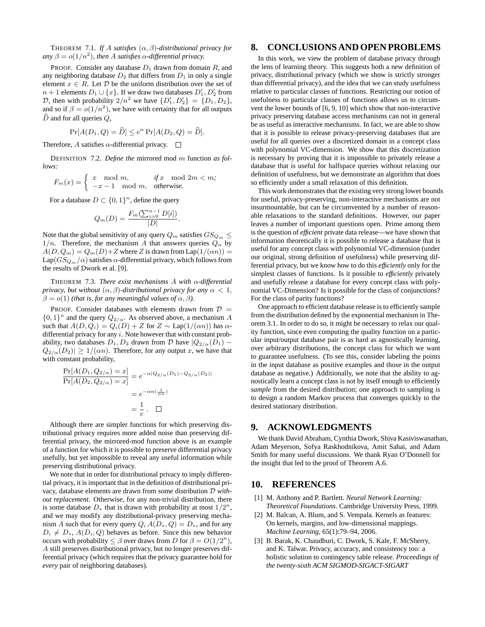THEOREM 7.1. *If* A *satisfies* (α, β)*-distributional privacy for*  $\alpha$ *any*  $\beta = o(1/n^2)$ , then A satisfies  $\alpha$ -differential privacy.

PROOF. Consider any database  $D_1$  drawn from domain  $R$ , and any neighboring database  $D_2$  that differs from  $D_1$  in only a single element  $x \in R$ . Let  $D$  be the uniform distribution over the set of  $n + 1$  elements  $D_1 \cup \{x\}$ . If we draw two databases  $D'_1, D'_2$  from D, then with probability  $2/n^2$  we have  $\{D'_1, D'_2\} = \{D_1, D_2\}$ , and so if  $\beta = o(1/n^2)$ , we have with certainty that for all outputs  $\widehat{D}$  and for all queries  $Q$ ,

$$
\Pr[A(D_1, Q) = \widehat{D}] \le e^{\alpha} \Pr[A(D_2, Q) = \widehat{D}].
$$

Therefore, A satisfies  $\alpha$ -differential privacy.  $\Box$ 

DEFINITION 7.2. *Define the* mirrored mod m function *as follows:*

$$
F_m(x) = \begin{cases} x \mod m, & \text{if } x \mod 2m < m; \\ -x - 1 \mod m, & \text{otherwise.} \end{cases}
$$

For a database  $D \subset \{0,1\}^n$ , define the query

$$
Q_m(D) = \frac{F_m(\sum_{i=0}^{n-1} D[i])}{|D|}
$$

.

Note that the global sensitivity of any query  $Q_m$  satisfies  $GS_{Q_m} \leq$  $1/n$ . Therefore, the mechanism A that answers queries  $Q_n$  by  $A(D,Q_m) = Q_m(D) + Z$  where Z is drawn from Lap $(1/(\alpha n)) =$ Lap( $GS_{Q_m}/\alpha$ ) satisfies  $\alpha$ -differential privacy, which follows from the results of Dwork et al. [9].

THEOREM 7.3. *There exist mechanisms* A *with* α*-differential privacy, but without*  $(\alpha, \beta)$ *-distributional privacy for any*  $\alpha < 1$ *,*  $\beta = o(1)$  *(that is, for any meaningful values of*  $\alpha$ ,  $\beta$ ).

PROOF. Consider databases with elements drawn from  $D =$  $\{0,1\}^n$  and the query  $Q_{2/\alpha}$ . As observed above, a mechanism A such that  $A(D, Q_i) = Q_i(D) + Z$  for  $Z \sim \text{Lap}(1/(\alpha n))$  has  $\alpha$ differential privacy for any  $i$ . Note however that with constant probability, two databases  $D_1, D_2$  drawn from  $\mathcal D$  have  $|Q_{2/\alpha}(D_1) |Q_{2/\alpha}(D_2)| \ge 1/(\alpha n)$ . Therefore, for any output x, we have that with constant probability,

$$
\frac{\Pr[A(D_1, Q_2/\alpha) = x]}{\Pr[A(D_2, Q_2/\alpha) = x]} = e^{-\alpha|Q_{2/\alpha}(D_1) - Q_{2/\alpha}(D_2)|}
$$

$$
= e^{-\alpha n(\frac{1}{\alpha n})}
$$

$$
= \frac{1}{e}. \quad \Box
$$

Although there are simpler functions for which preserving distributional privacy requires more added noise than preserving differential privacy, the mirrored-mod function above is an example of a function for which it is possible to preserve differential privacy usefully, but yet impossible to reveal any useful information while preserving distributional privacy.

We note that in order for distributional privacy to imply differential privacy, it is important that in the definition of distributional privacy, database elements are drawn from some distribution D *without replacement*. Otherwise, for any non-trivial distribution, there is some database  $D_*$  that is drawn with probability at most  $1/2^n$ , and we may modify any distributional-privacy preserving mechanism A such that for every query  $Q, A(D_*, Q) = D_*$ , and for any  $D_i \neq D_*, A(D_i, Q)$  behaves as before. Since this new behavior occurs with probability  $\leq \beta$  over draws from D for  $\beta = O(1/2^n)$ , A still preserves distributional privacy, but no longer preserves differential privacy (which requires that the privacy guarantee hold for *every* pair of neighboring databases).

## **8. CONCLUSIONS AND OPEN PROBLEMS**

In this work, we view the problem of database privacy through the lens of learning theory. This suggests both a new definition of privacy, distributional privacy (which we show is strictly stronger than differential privacy), and the idea that we can study usefulness relative to particular classes of functions. Restricting our notion of usefulness to particular classes of functions allows us to circumvent the lower bounds of [6, 9, 10] which show that non-interactive privacy preserving database access mechanisms can not in general be as useful as interactive mechanisms. In fact, we are able to show that it is possible to release privacy-preserving databases that are useful for all queries over a discretized domain in a concept class with polynomial VC-dimension. We show that this discretization is necessary by proving that it is impossible to privately release a database that is useful for halfspace queries without relaxing our definition of usefulness, but we demonstrate an algorithm that does so efficiently under a small relaxation of this definition.

This work demonstrates that the existing very strong lower bounds for useful, privacy-preserving, non-interactive mechanisms are not insurmountable, but can be circumvented by a number of reasonable relaxations to the standard definitions. However, our paper leaves a number of important questions open. Prime among them is the question of *efficient* private data release—we have shown that information theoretically it is possible to release a database that is useful for any concept class with polynomial VC-dimension (under our original, strong definition of usefulness) while preserving differential privacy, but we know how to do this *efficiently* only for the simplest classes of functions. Is it possible to *efficiently* privately and usefully release a database for every concept class with polynomial VC-Dimension? Is it possible for the class of conjunctions? For the class of parity functions?

One approach to efficient database release is to efficiently sample from the distribution defined by the exponential mechanism in Theorem 3.1. In order to do so, it might be necessary to relax our quality function, since even computing the quality function on a particular input/output database pair is as hard as agnostically learning, over arbitrary distributions, the concept class for which we want to guarantee usefulness. (To see this, consider labeling the points in the input database as positive examples and those in the output database as negative.) Additionally, we note that the ability to agnostically learn a concept class is not by itself enough to efficiently *sample* from the desired distribution; one approach to sampling is to design a random Markov process that converges quickly to the desired stationary distribution.

# **9. ACKNOWLEDGMENTS**

We thank David Abraham, Cynthia Dwork, Shiva Kasiviswanathan, Adam Meyerson, Sofya Raskhodnikova, Amit Sahai, and Adam Smith for many useful discussions. We thank Ryan O'Donnell for the insight that led to the proof of Theorem A.6.

#### **10. REFERENCES**

- [1] M. Anthony and P. Bartlett. *Neural Network Learning: Theoretical Foundations*. Cambridge University Press, 1999.
- [2] M. Balcan, A. Blum, and S. Vempala. Kernels as features: On kernels, margins, and low-dimensional mappings. *Machine Learning*, 65(1):79–94, 2006.
- [3] B. Barak, K. Chaudhuri, C. Dwork, S. Kale, F. McSherry, and K. Talwar. Privacy, accuracy, and consistency too: a holistic solution to contingency table release. *Proceedings of the twenty-sixth ACM SIGMOD-SIGACT-SIGART*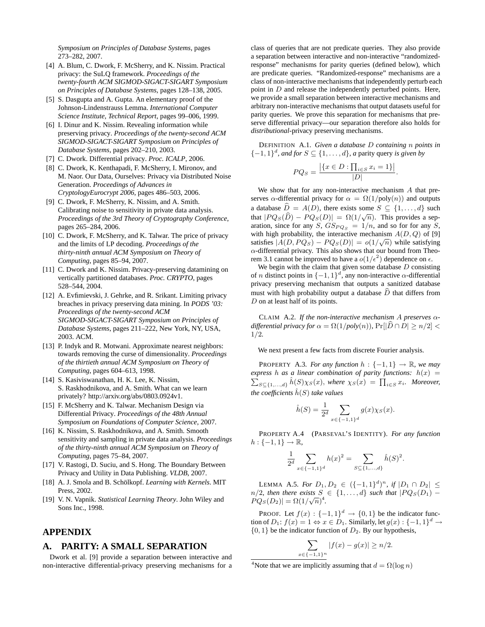*Symposium on Principles of Database Systems*, pages 273–282, 2007.

- [4] A. Blum, C. Dwork, F. McSherry, and K. Nissim. Practical privacy: the SuLQ framework. *Proceedings of the twenty-fourth ACM SIGMOD-SIGACT-SIGART Symposium on Principles of Database Systems*, pages 128–138, 2005.
- [5] S. Dasgupta and A. Gupta. An elementary proof of the Johnson-Lindenstrauss Lemma. *International Computer Science Institute, Technical Report*, pages 99–006, 1999.
- [6] I. Dinur and K. Nissim. Revealing information while preserving privacy. *Proceedings of the twenty-second ACM SIGMOD-SIGACT-SIGART Symposium on Principles of Database Systems*, pages 202–210, 2003.
- [7] C. Dwork. Differential privacy. *Proc. ICALP*, 2006.
- [8] C. Dwork, K. Kenthapadi, F. McSherry, I. Mironov, and M. Naor. Our Data, Ourselves: Privacy via Distributed Noise Generation. *Proceedings of Advances in CryptologyEurocrypt 2006*, pages 486–503, 2006.
- [9] C. Dwork, F. McSherry, K. Nissim, and A. Smith. Calibrating noise to sensitivity in private data analysis. *Proceedings of the 3rd Theory of Cryptography Conference*, pages 265–284, 2006.
- [10] C. Dwork, F. McSherry, and K. Talwar. The price of privacy and the limits of LP decoding. *Proceedings of the thirty-ninth annual ACM Symposium on Theory of Computing*, pages 85–94, 2007.
- [11] C. Dwork and K. Nissim. Privacy-preserving datamining on vertically partitioned databases. *Proc. CRYPTO*, pages 528–544, 2004.
- [12] A. Evfimievski, J. Gehrke, and R. Srikant. Limiting privacy breaches in privacy preserving data mining. In *PODS '03: Proceedings of the twenty-second ACM SIGMOD-SIGACT-SIGART Symposium on Principles of Database Systems*, pages 211–222, New York, NY, USA, 2003. ACM.
- [13] P. Indyk and R. Motwani. Approximate nearest neighbors: towards removing the curse of dimensionality. *Proceedings of the thirtieth annual ACM Symposium on Theory of Computing*, pages 604–613, 1998.
- [14] S. Kasiviswanathan, H. K. Lee, K. Nissim, S. Raskhodnikova, and A. Smith. What can we learn privately? http://arxiv.org/abs/0803.0924v1.
- [15] F. McSherry and K. Talwar. Mechanism Design via Differential Privacy. *Proceedings of the 48th Annual Symposium on Foundations of Computer Science*, 2007.
- [16] K. Nissim, S. Raskhodnikova, and A. Smith. Smooth sensitivity and sampling in private data analysis. *Proceedings of the thirty-ninth annual ACM Symposium on Theory of Computing*, pages 75–84, 2007.
- [17] V. Rastogi, D. Suciu, and S. Hong. The Boundary Between Privacy and Utility in Data Publishing. *VLDB*, 2007.
- [18] A. J. Smola and B. Schölkopf. *Learning with Kernels*. MIT Press, 2002.
- [19] V. N. Vapnik. *Statistical Learning Theory*. John Wiley and Sons Inc., 1998.

# **APPENDIX**

## **A. PARITY: A SMALL SEPARATION**

Dwork et al. [9] provide a separation between interactive and non-interactive differential-privacy preserving mechanisms for a class of queries that are not predicate queries. They also provide a separation between interactive and non-interactive "randomizedresponse" mechanisms for parity queries (defined below), which are predicate queries. "Randomized-response" mechanisms are a class of non-interactive mechanisms that independently perturb each point in D and release the independently perturbed points. Here, we provide a small separation between interactive mechanisms and arbitrary non-interactive mechanisms that output datasets useful for parity queries. We prove this separation for mechanisms that preserve differential privacy—our separation therefore also holds for *distributional*-privacy preserving mechanisms.

DEFINITION A.1. *Given a database* D *containing* n *points in* {−1, 1} d *, and for* S ⊆ {1, . . . , d}*, a* parity query *is given by*

$$
PQ_S = \frac{|\{x \in D : \prod_{i \in S} x_i = 1\}|}{|D|}.
$$

We show that for any non-interactive mechanism  $A$  that preserves  $\alpha$ -differential privacy for  $\alpha = \Omega(1/\text{poly}(n))$  and outputs a database  $\widehat{D} = A(D)$ , there exists some  $S \subseteq \{1, \ldots, d\}$  such that  $|PQ_S(\widehat{D}) - PQ_S(D)| = \Omega(1/\sqrt{n})$ . This provides a separation, since for any S,  $GS_{PQ_S} = 1/n$ , and so for for any S, with high probability, the interactive mechanism  $A(D, Q)$  of [9] satisfies  $|A(D, PQ_S) - PQ_S(D)| = o(1/\sqrt{n})$  while satisfying  $\alpha$ -differential privacy. This also shows that our bound from Theorem 3.1 cannot be improved to have a  $o(1/\epsilon^2)$  dependence on  $\epsilon$ .

We begin with the claim that given some database  $D$  consisting of *n* distinct points in  $\{-1, 1\}^d$ , any non-interactive  $\alpha$ -differential privacy preserving mechanism that outputs a sanitized database must with high probability output a database  $\widehat{D}$  that differs from D on at least half of its points.

CLAIM A.2. *If the non-interactive mechanism* A *preserves* α*differential privacy for*  $\alpha = \Omega(1/polv(n))$ ,  $Pr[|\widehat{D} \cap D| > n/2] <$ 1/2*.*

We next present a few facts from discrete Fourier analysis.

**PROPERTY** A.3. *For any function*  $h: \{-1, 1\} \rightarrow \mathbb{R}$ *, we may express* h *as a linear combination of parity functions:*  $h(x) =$  $\sum_{S \subseteq \{1,\ldots,d\}} \hat{h}(S) \chi_S(x)$ , where  $\chi_S(x) = \prod_{i \in S} x_i$ . Moreover, *the coefficients*  $\hat{h}(S)$  *take values* 

$$
\hat{h}(S) = \frac{1}{2^d} \sum_{x \in \{-1, 1\}^d} g(x) \chi_S(x).
$$

PROPERTY A.4 (PARSEVAL'S IDENTITY). *For any function*  $h: \{-1,1\} \rightarrow \mathbb{R},$ 

$$
\frac{1}{2^d} \sum_{x \in \{-1,1\}^d} h(x)^2 = \sum_{S \subseteq \{1,\dots,d\}} \hat{h}(S)^2.
$$

LEMMA A.5. *For*  $D_1, D_2$  ∈  $({{-1, 1}}^d)^n$ , *if*  $|D_1 \cap D_2|$  ≤  $n/2$ , then there exists  $S \in \{1, \ldots, d\}$  *such that*  $|PQ_S(D_1) - P_S(D_2)|$  $PQ_S(D_2)| = \Omega(1/\sqrt{n})^4$ .

PROOF. Let  $f(x) : \{-1, 1\}^d \to \{0, 1\}$  be the indicator function of  $D_1$ :  $f(x) = 1 \Leftrightarrow x \in D_1$ . Similarly, let  $g(x) : \{-1, 1\}^d \to$  $\{0, 1\}$  be the indicator function of  $D_2$ . By our hypothesis,

$$
\sum_{\{-1,1\}^n} |f(x) - g(x)| \ge n/2.
$$

 $x∈$ 

<sup>&</sup>lt;sup>4</sup>Note that we are implicitly assuming that  $d = \Omega(\log n)$